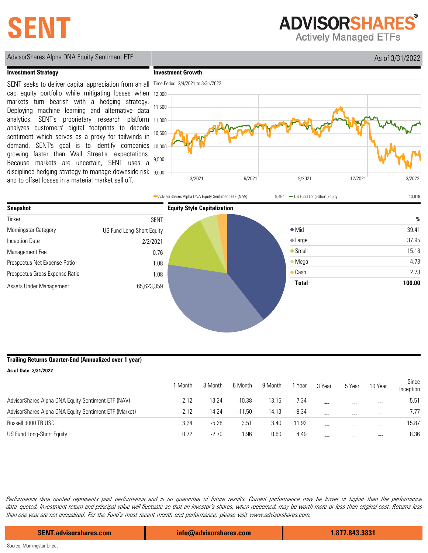# **SENT**

**ADVISORSHARES** 

**Actively Managed ETFs** 

## AdvisorShares Alpha DNA Equity Sentiment ETF As of 3/31/2022

#### **Investment Strategy**

disciplined hedging strategy to manage downside risk 9,000 demand. SENT's goal is to identify companies 10,000 analytics, SENT's proprietary research platform 11,000 SENT seeks to deliver capital appreciation from an all cap equity portfolio while mitigating losses when markets turn bearish with a hedging strategy. Deploying machine learning and alternative data analyzes customers' digital footprints to decode sentiment which serves as a proxy for tailwinds in growing faster than Wall Street's. expectations. Because markets are uncertain, SENT uses a and to offset losses in a material market sell off.





#### **Trailing Returns Quarter-End (Annualized over 1 year)**

| As of Date: 3/31/2022                                 |         |          |          |          |         |         |        |         |                    |
|-------------------------------------------------------|---------|----------|----------|----------|---------|---------|--------|---------|--------------------|
|                                                       | 1 Month | 3 Month  | 6 Month  | 9 Month  | 1 Year  | 3 Year  | 5 Year | 10 Year | Since<br>Inception |
| AdvisorShares Alpha DNA Equity Sentiment ETF (NAV)    | $-2.12$ | $-13.24$ | $-10.38$ | $-13.15$ | $-7.34$ | ---     | ---    | $- - -$ | $-5.51$            |
| AdvisorShares Alpha DNA Equity Sentiment ETF (Market) | $-2.12$ | $-14.24$ | $-11.50$ | $-14.13$ | $-8.34$ | $- - -$ | ---    | $- - -$ | $-7.77$            |
| Russell 3000 TR USD                                   | 3.24    | $-5.28$  | 3.51     | 3.40     | 11.92   | $- - -$ | ---    | $- - -$ | 15.87              |
| US Fund Long-Short Equity                             | 0.72    | $-2.70$  | 1.96     | 0.60     | 4.49    |         | ---    | $---$   | 8.36               |

Performance data quoted represents past performance and is no guarantee of future results. Current performance may be lower or higher than the performance data quoted. Investment return and principal value will fluctuate so that an investor's shares, when redeemed, may be worth more or less than original cost. Returns less than one year are not annualized. For the Fund's most recent month end performance, please visit www.advisorshares.com.

**SENT.advisorshares.com info@advisorshares.com 1.877.843.3831**

Source: Morningstar Direct